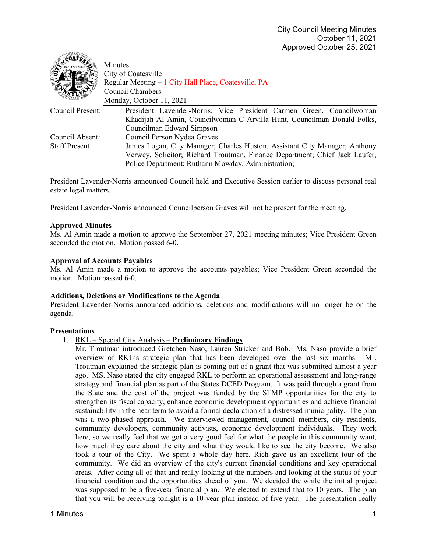| $_{c}$ COAT $_{c}$   | Minutes<br>City of Coatesville<br>Regular Meeting - 1 City Hall Place, Coatesville, PA<br>Council Chambers<br>Monday, October 11, 2021 |
|----------------------|----------------------------------------------------------------------------------------------------------------------------------------|
| Council Present:     | President Lavender-Norris; Vice President Carmen Green, Councilwoman                                                                   |
|                      | Khadijah Al Amin, Councilwoman C Arvilla Hunt, Councilman Donald Folks,                                                                |
|                      | Councilman Edward Simpson                                                                                                              |
| Council Absent:      | Council Person Nydea Graves                                                                                                            |
| <b>Staff Present</b> | James Logan, City Manager; Charles Huston, Assistant City Manager; Anthony                                                             |
|                      | Verwey, Solicitor; Richard Troutman, Finance Department; Chief Jack Laufer,                                                            |
|                      | Police Department; Ruthann Mowday, Administration;                                                                                     |

President Lavender-Norris announced Council held and Executive Session earlier to discuss personal real estate legal matters.

President Lavender-Norris announced Councilperson Graves will not be present for the meeting.

#### **Approved Minutes**

 $\triangle$ 

Ms. Al Amin made a motion to approve the September 27, 2021 meeting minutes; Vice President Green seconded the motion. Motion passed 6-0.

#### **Approval of Accounts Payables**

Ms. Al Amin made a motion to approve the accounts payables; Vice President Green seconded the motion. Motion passed 6-0.

#### **Additions, Deletions or Modifications to the Agenda**

President Lavender-Norris announced additions, deletions and modifications will no longer be on the agenda.

#### **Presentations**

### 1. RKL – Special City Analysis – **Preliminary Findings**

Mr. Troutman introduced Gretchen Naso, Lauren Stricker and Bob. Ms. Naso provide a brief overview of RKL's strategic plan that has been developed over the last six months. Mr. Troutman explained the strategic plan is coming out of a grant that was submitted almost a year ago. MS. Naso stated the city engaged RKL to perform an operational assessment and long-range strategy and financial plan as part of the States DCED Program. It was paid through a grant from the State and the cost of the project was funded by the STMP opportunities for the city to strengthen its fiscal capacity, enhance economic development opportunities and achieve financial sustainability in the near term to avoid a formal declaration of a distressed municipality. The plan was a two-phased approach. We interviewed management, council members, city residents, community developers, community activists, economic development individuals. They work here, so we really feel that we got a very good feel for what the people in this community want, how much they care about the city and what they would like to see the city become. We also took a tour of the City. We spent a whole day here. Rich gave us an excellent tour of the community. We did an overview of the city's current financial conditions and key operational areas. After doing all of that and really looking at the numbers and looking at the status of your financial condition and the opportunities ahead of you. We decided the while the initial project was supposed to be a five-year financial plan. We elected to extend that to 10 years. The plan that you will be receiving tonight is a 10-year plan instead of five year. The presentation really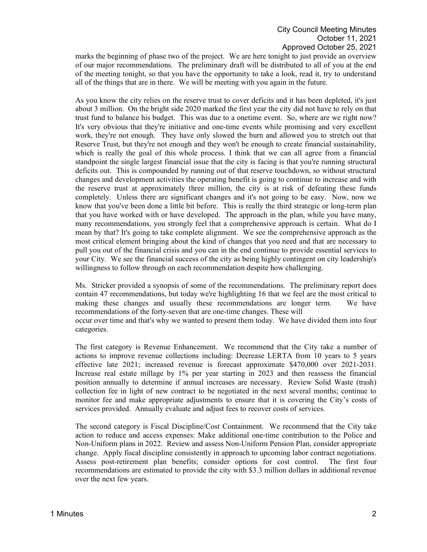marks the beginning of phase two of the project. We are here tonight to just provide an overview of our major recommendations. The preliminary draft will be distributed to all of you at the end of the meeting tonight, so that you have the opportunity to take a look, read it, try to understand all of the things that are in there. We will be meeting with you again in the future.

As you know the city relies on the reserve trust to cover deficits and it has been depleted, it's just about 3 million. On the bright side 2020 marked the first year the city did not have to rely on that trust fund to balance his budget. This was due to a onetime event. So, where are we right now? It's very obvious that they're initiative and one-time events while promising and very excellent work, they're not enough. They have only slowed the burn and allowed you to stretch out that Reserve Trust, but they're not enough and they won't be enough to create financial sustainability, which is really the goal of this whole process. I think that we can all agree from a financial standpoint the single largest financial issue that the city is facing is that you're running structural deficits out. This is compounded by running out of that reserve touchdown, so without structural changes and development activities the operating benefit is going to continue to increase and with the reserve trust at approximately three million, the city is at risk of defeating these funds completely. Unless there are significant changes and it's not going to be easy. Now, now we know that you've been done a little bit before. This is really the third strategic or long-term plan that you have worked with or have developed. The approach in the plan, while you have many, many recommendations, you strongly feel that a comprehensive approach is certain. What do I mean by that? It's going to take complete alignment. We see the comprehensive approach as the most critical element bringing about the kind of changes that you need and that are necessary to pull you out of the financial crisis and you can in the end continue to provide essential services to your City. We see the financial success of the city as being highly contingent on city leadership's willingness to follow through on each recommendation despite how challenging.

Ms. Stricker provided a synopsis of some of the recommendations. The preliminary report does contain 47 recommendations, but today we're highlighting 16 that we feel are the most critical to making these changes and usually these recommendations are longer term. We have recommendations of the forty-seven that are one-time changes. These will occur over time and that's why we wanted to present them today. We have divided them into four categories.

The first category is Revenue Enhancement. We recommend that the City take a number of actions to improve revenue collections including: Decrease LERTA from 10 years to 5 years effective late 2021; increased revenue is forecast approximate \$470,000 over 2021-2031. Increase real estate millage by 1% per year starting in 2023 and then reassess the financial position annually to determine if annual increases are necessary. Review Solid Waste (trash) collection fee in light of new contract to be negotiated in the next several months; continue to monitor fee and make appropriate adjustments to ensure that it is covering the City's costs of services provided. Annually evaluate and adjust fees to recover costs of services.

The second category is Fiscal Discipline/Cost Containment. We recommend that the City take action to reduce and access expenses: Make additional one-time contribution to the Police and Non-Uniform plans in 2022. Review and assess Non-Uniform Pension Plan, consider appropriate change. Apply fiscal discipline consistently in approach to upcoming labor contract negotiations. Assess post-retirement plan benefits; consider options for cost control. The first four recommendations are estimated to provide the city with \$3.3 million dollars in additional revenue over the next few years.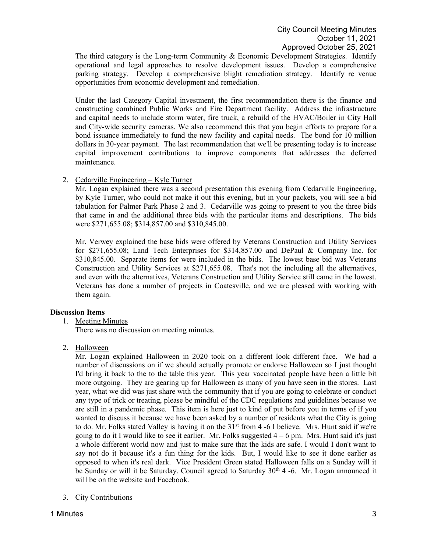The third category is the Long-term Community & Economic Development Strategies. Identify operational and legal approaches to resolve development issues. Develop a comprehensive parking strategy. Develop a comprehensive blight remediation strategy. Identify re venue opportunities from economic development and remediation.

Under the last Category Capital investment, the first recommendation there is the finance and constructing combined Public Works and Fire Department facility. Address the infrastructure and capital needs to include storm water, fire truck, a rebuild of the HVAC/Boiler in City Hall and City-wide security cameras. We also recommend this that you begin efforts to prepare for a bond issuance immediately to fund the new facility and capital needs. The bond for 10 million dollars in 30-year payment. The last recommendation that we'll be presenting today is to increase capital improvement contributions to improve components that addresses the deferred maintenance.

# 2. Cedarville Engineering – Kyle Turner

Mr. Logan explained there was a second presentation this evening from Cedarville Engineering, by Kyle Turner, who could not make it out this evening, but in your packets, you will see a bid tabulation for Palmer Park Phase 2 and 3. Cedarville was going to present to you the three bids that came in and the additional three bids with the particular items and descriptions. The bids were \$271,655.08; \$314,857.00 and \$310,845.00.

Mr. Verwey explained the base bids were offered by Veterans Construction and Utility Services for \$271,655.08; Land Tech Enterprises for \$314,857.00 and DePaul & Company Inc. for \$310,845.00. Separate items for were included in the bids. The lowest base bid was Veterans Construction and Utility Services at \$271,655.08. That's not the including all the alternatives, and even with the alternatives, Veterans Construction and Utility Service still came in the lowest. Veterans has done a number of projects in Coatesville, and we are pleased with working with them again.

# **Discussion Items**

1. Meeting Minutes

There was no discussion on meeting minutes.

2. Halloween

Mr. Logan explained Halloween in 2020 took on a different look different face. We had a number of discussions on if we should actually promote or endorse Halloween so I just thought I'd bring it back to the to the table this year. This year vaccinated people have been a little bit more outgoing. They are gearing up for Halloween as many of you have seen in the stores. Last year, what we did was just share with the community that if you are going to celebrate or conduct any type of trick or treating, please be mindful of the CDC regulations and guidelines because we are still in a pandemic phase. This item is here just to kind of put before you in terms of if you wanted to discuss it because we have been asked by a number of residents what the City is going to do. Mr. Folks stated Valley is having it on the  $31<sup>st</sup>$  from 4 -6 I believe. Mrs. Hunt said if we're going to do it I would like to see it earlier. Mr. Folks suggested  $4 - 6$  pm. Mrs. Hunt said it's just a whole different world now and just to make sure that the kids are safe. I would I don't want to say not do it because it's a fun thing for the kids. But, I would like to see it done earlier as opposed to when it's real dark. Vice President Green stated Halloween falls on a Sunday will it be Sunday or will it be Saturday. Council agreed to Saturday 30<sup>th</sup> 4 -6. Mr. Logan announced it will be on the website and Facebook.

3. City Contributions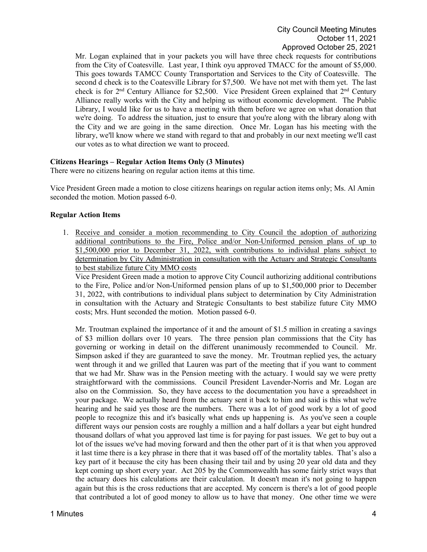Mr. Logan explained that in your packets you will have three check requests for contributions from the City of Coatesville. Last year, I think oyu approved TMACC for the amount of \$5,000. This goes towards TAMCC County Transportation and Services to the City of Coatesville. The second d check is to the Coatesville Library for \$7,500. We have not met with them yet. The last check is for 2<sup>nd</sup> Century Alliance for \$2,500. Vice President Green explained that 2<sup>nd</sup> Century Alliance really works with the City and helping us without economic development. The Public Library, I would like for us to have a meeting with them before we agree on what donation that we're doing. To address the situation, just to ensure that you're along with the library along with the City and we are going in the same direction. Once Mr. Logan has his meeting with the library, we'll know where we stand with regard to that and probably in our next meeting we'll cast our votes as to what direction we want to proceed.

### **Citizens Hearings – Regular Action Items Only (3 Minutes)**

There were no citizens hearing on regular action items at this time.

Vice President Green made a motion to close citizens hearings on regular action items only; Ms. Al Amin seconded the motion. Motion passed 6-0.

### **Regular Action Items**

1. Receive and consider a motion recommending to City Council the adoption of authorizing additional contributions to the Fire, Police and/or Non-Uniformed pension plans of up to \$1,500,000 prior to December 31, 2022, with contributions to individual plans subject to determination by City Administration in consultation with the Actuary and Strategic Consultants to best stabilize future City MMO costs

Vice President Green made a motion to approve City Council authorizing additional contributions to the Fire, Police and/or Non-Uniformed pension plans of up to \$1,500,000 prior to December 31, 2022, with contributions to individual plans subject to determination by City Administration in consultation with the Actuary and Strategic Consultants to best stabilize future City MMO costs; Mrs. Hunt seconded the motion. Motion passed 6-0.

Mr. Troutman explained the importance of it and the amount of \$1.5 million in creating a savings of \$3 million dollars over 10 years. The three pension plan commissions that the City has governing or working in detail on the different unanimously recommended to Council. Mr. Simpson asked if they are guaranteed to save the money. Mr. Troutman replied yes, the actuary went through it and we grilled that Lauren was part of the meeting that if you want to comment that we had Mr. Shaw was in the Pension meeting with the actuary. I would say we were pretty straightforward with the commissions. Council President Lavender-Norris and Mr. Logan are also on the Commission. So, they have access to the documentation you have a spreadsheet in your package. We actually heard from the actuary sent it back to him and said is this what we're hearing and he said yes those are the numbers. There was a lot of good work by a lot of good people to recognize this and it's basically what ends up happening is. As you've seen a couple different ways our pension costs are roughly a million and a half dollars a year but eight hundred thousand dollars of what you approved last time is for paying for past issues. We get to buy out a lot of the issues we've had moving forward and then the other part of it is that when you approved it last time there is a key phrase in there that it was based off of the mortality tables. That's also a key part of it because the city has been chasing their tail and by using 20 year old data and they kept coming up short every year. Act 205 by the Commonwealth has some fairly strict ways that the actuary does his calculations are their calculation. It doesn't mean it's not going to happen again but this is the cross reductions that are accepted. My concern is there's a lot of good people that contributed a lot of good money to allow us to have that money. One other time we were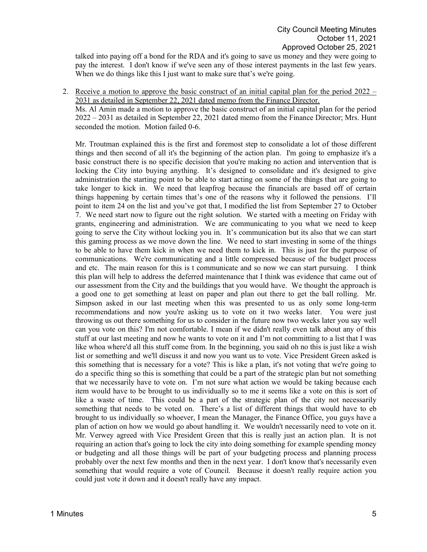talked into paying off a bond for the RDA and it's going to save us money and they were going to pay the interest. I don't know if we've seen any of those interest payments in the last few years. When we do things like this I just want to make sure that's we're going.

2. Receive a motion to approve the basic construct of an initial capital plan for the period  $2022 -$ 2031 as detailed in September 22, 2021 dated memo from the Finance Director.

Ms. Al Amin made a motion to approve the basic construct of an initial capital plan for the period 2022 – 2031 as detailed in September 22, 2021 dated memo from the Finance Director; Mrs. Hunt seconded the motion. Motion failed 0-6.

Mr. Troutman explained this is the first and foremost step to consolidate a lot of those different things and then second of all it's the beginning of the action plan. I'm going to emphasize it's a basic construct there is no specific decision that you're making no action and intervention that is locking the City into buying anything. It's designed to consolidate and it's designed to give administration the starting point to be able to start acting on some of the things that are going to take longer to kick in. We need that leapfrog because the financials are based off of certain things happening by certain times that's one of the reasons why it followed the pensions. I'll point to item 24 on the list and you've got that, I modified the list from September 27 to October 7. We need start now to figure out the right solution. We started with a meeting on Friday with grants, engineering and administration. We are communicating to you what we need to keep going to serve the City without locking you in. It's communication but its also that we can start this gaming process as we move down the line. We need to start investing in some of the things to be able to have them kick in when we need them to kick in. This is just for the purpose of communications. We're communicating and a little compressed because of the budget process and etc. The main reason for this is t communicate and so now we can start pursuing. I think this plan will help to address the deferred maintenance that I think was evidence that came out of our assessment from the City and the buildings that you would have. We thought the approach is a good one to get something at least on paper and plan out there to get the ball rolling. Mr. Simpson asked in our last meeting when this was presented to us as only some long-term recommendations and now you're asking us to vote on it two weeks later. You were just throwing us out there something for us to consider in the future now two weeks later you say well can you vote on this? I'm not comfortable. I mean if we didn't really even talk about any of this stuff at our last meeting and now he wants to vote on it and I'm not committing to a list that I was like whoa where'd all this stuff come from. In the beginning, you said oh no this is just like a wish list or something and we'll discuss it and now you want us to vote. Vice President Green asked is this something that is necessary for a vote? This is like a plan, it's not voting that we're going to do a specific thing so this is something that could be a part of the strategic plan but not something that we necessarily have to vote on. I'm not sure what action we would be taking because each item would have to be brought to us individually so to me it seems like a vote on this is sort of like a waste of time. This could be a part of the strategic plan of the city not necessarily something that needs to be voted on. There's a list of different things that would have to eb brought to us individually so whoever, I mean the Manager, the Finance Office, you guys have a plan of action on how we would go about handling it. We wouldn't necessarily need to vote on it. Mr. Verwey agreed with Vice President Green that this is really just an action plan. It is not requiring an action that's going to lock the city into doing something for example spending money or budgeting and all those things will be part of your budgeting process and planning process probably over the next few months and then in the next year. I don't know that's necessarily even something that would require a vote of Council. Because it doesn't really require action you could just vote it down and it doesn't really have any impact.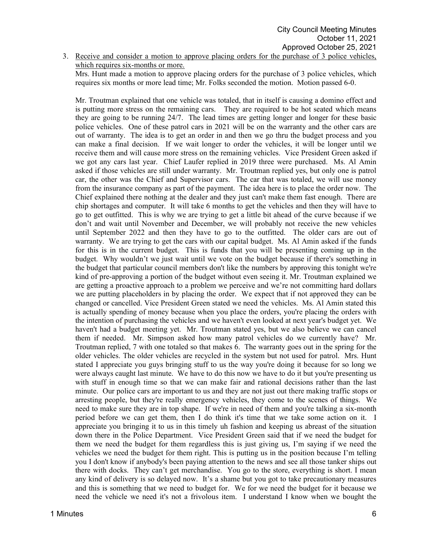3. Receive and consider a motion to approve placing orders for the purchase of 3 police vehicles, which requires six-months or more.

Mrs. Hunt made a motion to approve placing orders for the purchase of 3 police vehicles, which requires six months or more lead time; Mr. Folks seconded the motion. Motion passed 6-0.

Mr. Troutman explained that one vehicle was totaled, that in itself is causing a domino effect and is putting more stress on the remaining cars. They are required to be hot seated which means they are going to be running 24/7. The lead times are getting longer and longer for these basic police vehicles. One of these patrol cars in 2021 will be on the warranty and the other cars are out of warranty. The idea is to get an order in and then we go thru the budget process and you can make a final decision. If we wait longer to order the vehicles, it will be longer until we receive them and will cause more stress on the remaining vehicles. Vice President Green asked if we got any cars last year. Chief Laufer replied in 2019 three were purchased. Ms. Al Amin asked if those vehicles are still under warranty. Mr. Troutman replied yes, but only one is patrol car, the other was the Chief and Supervisor cars. The car that was totaled, we will use money from the insurance company as part of the payment. The idea here is to place the order now. The Chief explained there nothing at the dealer and they just can't make them fast enough. There are chip shortages and computer. It will take 6 months to get the vehicles and then they will have to go to get outfitted. This is why we are trying to get a little bit ahead of the curve because if we don't and wait until November and December, we will probably not receive the new vehicles until September 2022 and then they have to go to the outfitted. The older cars are out of warranty. We are trying to get the cars with our capital budget. Ms. Al Amin asked if the funds for this is in the current budget. This is funds that you will be presenting coming up in the budget. Why wouldn't we just wait until we vote on the budget because if there's something in the budget that particular council members don't like the numbers by approving this tonight we're kind of pre-approving a portion of the budget without even seeing it. Mr. Troutman explained we are getting a proactive approach to a problem we perceive and we're not committing hard dollars we are putting placeholders in by placing the order. We expect that if not approved they can be changed or cancelled. Vice President Green stated we need the vehicles. Ms. Al Amin stated this is actually spending of money because when you place the orders, you're placing the orders with the intention of purchasing the vehicles and we haven't even looked at next year's budget yet. We haven't had a budget meeting yet. Mr. Troutman stated yes, but we also believe we can cancel them if needed. Mr. Simpson asked how many patrol vehicles do we currently have? Mr. Troutman replied, 7 with one totaled so that makes 6. The warranty goes out in the spring for the older vehicles. The older vehicles are recycled in the system but not used for patrol. Mrs. Hunt stated I appreciate you guys bringing stuff to us the way you're doing it because for so long we were always caught last minute. We have to do this now we have to do it but you're presenting us with stuff in enough time so that we can make fair and rational decisions rather than the last minute. Our police cars are important to us and they are not just out there making traffic stops or arresting people, but they're really emergency vehicles, they come to the scenes of things. We need to make sure they are in top shape. If we're in need of them and you're talking a six-month period before we can get them, then I do think it's time that we take some action on it. I appreciate you bringing it to us in this timely uh fashion and keeping us abreast of the situation down there in the Police Department. Vice President Green said that if we need the budget for them we need the budget for them regardless this is just giving us, I'm saying if we need the vehicles we need the budget for them right. This is putting us in the position because I'm telling you I don't know if anybody's been paying attention to the news and see all those tanker ships out there with docks. They can't get merchandise. You go to the store, everything is short. I mean any kind of delivery is so delayed now. It's a shame but you got to take precautionary measures and this is something that we need to budget for. We for we need the budget for it because we need the vehicle we need it's not a frivolous item. I understand I know when we bought the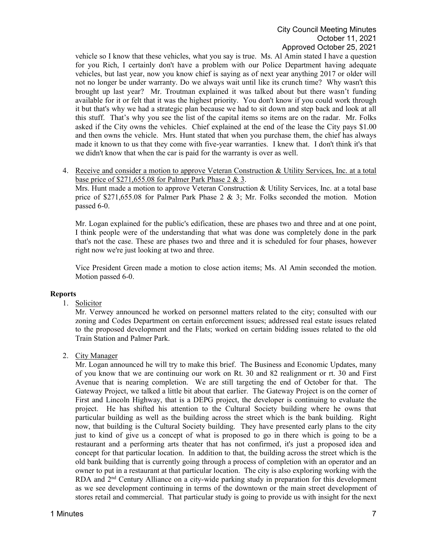vehicle so I know that these vehicles, what you say is true. Ms. Al Amin stated I have a question for you Rich, I certainly don't have a problem with our Police Department having adequate vehicles, but last year, now you know chief is saying as of next year anything 2017 or older will not no longer be under warranty. Do we always wait until like its crunch time? Why wasn't this brought up last year? Mr. Troutman explained it was talked about but there wasn't funding available for it or felt that it was the highest priority. You don't know if you could work through it but that's why we had a strategic plan because we had to sit down and step back and look at all this stuff. That's why you see the list of the capital items so items are on the radar. Mr. Folks asked if the City owns the vehicles. Chief explained at the end of the lease the City pays \$1.00 and then owns the vehicle. Mrs. Hunt stated that when you purchase them, the chief has always made it known to us that they come with five-year warranties. I knew that. I don't think it's that we didn't know that when the car is paid for the warranty is over as well.

4. Receive and consider a motion to approve Veteran Construction & Utility Services, Inc. at a total base price of \$271,655.08 for Palmer Park Phase 2 & 3.

Mrs. Hunt made a motion to approve Veteran Construction & Utility Services, Inc. at a total base price of \$271,655.08 for Palmer Park Phase 2  $\&$  3; Mr. Folks seconded the motion. Motion passed 6-0.

Mr. Logan explained for the public's edification, these are phases two and three and at one point, I think people were of the understanding that what was done was completely done in the park that's not the case. These are phases two and three and it is scheduled for four phases, however right now we're just looking at two and three.

Vice President Green made a motion to close action items; Ms. Al Amin seconded the motion. Motion passed 6-0.

### **Reports**

1. Solicitor

Mr. Verwey announced he worked on personnel matters related to the city; consulted with our zoning and Codes Department on certain enforcement issues; addressed real estate issues related to the proposed development and the Flats; worked on certain bidding issues related to the old Train Station and Palmer Park.

### 2. City Manager

Mr. Logan announced he will try to make this brief. The Business and Economic Updates, many of you know that we are continuing our work on Rt. 30 and 82 realignment or rt. 30 and First Avenue that is nearing completion. We are still targeting the end of October for that. The Gateway Project, we talked a little bit about that earlier. The Gateway Project is on the corner of First and Lincoln Highway, that is a DEPG project, the developer is continuing to evaluate the project. He has shifted his attention to the Cultural Society building where he owns that particular building as well as the building across the street which is the bank building. Right now, that building is the Cultural Society building. They have presented early plans to the city just to kind of give us a concept of what is proposed to go in there which is going to be a restaurant and a performing arts theater that has not confirmed, it's just a proposed idea and concept for that particular location. In addition to that, the building across the street which is the old bank building that is currently going through a process of completion with an operator and an owner to put in a restaurant at that particular location. The city is also exploring working with the RDA and 2<sup>nd</sup> Century Alliance on a city-wide parking study in preparation for this development as we see development continuing in terms of the downtown or the main street development of stores retail and commercial. That particular study is going to provide us with insight for the next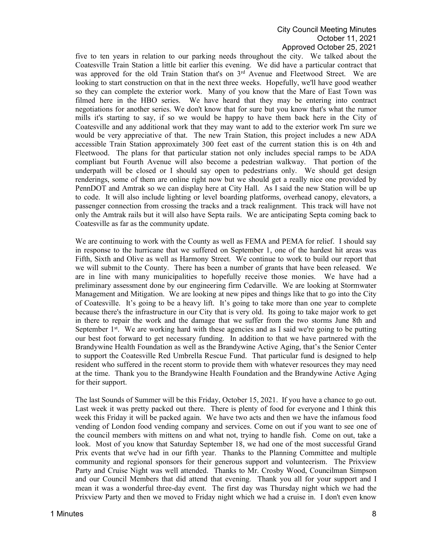five to ten years in relation to our parking needs throughout the city. We talked about the Coatesville Train Station a little bit earlier this evening. We did have a particular contract that was approved for the old Train Station that's on 3<sup>rd</sup> Avenue and Fleetwood Street. We are looking to start construction on that in the next three weeks. Hopefully, we'll have good weather so they can complete the exterior work. Many of you know that the Mare of East Town was filmed here in the HBO series. We have heard that they may be entering into contract negotiations for another series. We don't know that for sure but you know that's what the rumor mills it's starting to say, if so we would be happy to have them back here in the City of Coatesville and any additional work that they may want to add to the exterior work I'm sure we would be very appreciative of that. The new Train Station, this project includes a new ADA accessible Train Station approximately 300 feet east of the current station this is on 4th and Fleetwood. The plans for that particular station not only includes special ramps to be ADA compliant but Fourth Avenue will also become a pedestrian walkway. That portion of the underpath will be closed or I should say open to pedestrians only. We should get design renderings, some of them are online right now but we should get a really nice one provided by PennDOT and Amtrak so we can display here at City Hall. As I said the new Station will be up to code. It will also include lighting or level boarding platforms, overhead canopy, elevators, a passenger connection from crossing the tracks and a track realignment. This track will have not only the Amtrak rails but it will also have Septa rails. We are anticipating Septa coming back to Coatesville as far as the community update.

We are continuing to work with the County as well as FEMA and PEMA for relief. I should say in response to the hurricane that we suffered on September 1, one of the hardest hit areas was Fifth, Sixth and Olive as well as Harmony Street. We continue to work to build our report that we will submit to the County. There has been a number of grants that have been released. We are in line with many municipalities to hopefully receive those monies. We have had a preliminary assessment done by our engineering firm Cedarville. We are looking at Stormwater Management and Mitigation. We are looking at new pipes and things like that to go into the City of Coatesville. It's going to be a heavy lift. It's going to take more than one year to complete because there's the infrastructure in our City that is very old. Its going to take major work to get in there to repair the work and the damage that we suffer from the two storms June 8th and September  $1<sup>st</sup>$ . We are working hard with these agencies and as I said we're going to be putting our best foot forward to get necessary funding. In addition to that we have partnered with the Brandywine Health Foundation as well as the Brandywine Active Aging, that's the Senior Center to support the Coatesville Red Umbrella Rescue Fund. That particular fund is designed to help resident who suffered in the recent storm to provide them with whatever resources they may need at the time. Thank you to the Brandywine Health Foundation and the Brandywine Active Aging for their support.

The last Sounds of Summer will be this Friday, October 15, 2021. If you have a chance to go out. Last week it was pretty packed out there. There is plenty of food for everyone and I think this week this Friday it will be packed again. We have two acts and then we have the infamous food vending of London food vending company and services. Come on out if you want to see one of the council members with mittens on and what not, trying to handle fish. Come on out, take a look. Most of you know that Saturday September 18, we had one of the most successful Grand Prix events that we've had in our fifth year. Thanks to the Planning Committee and multiple community and regional sponsors for their generous support and volunteerism. The Prixview Party and Cruise Night was well attended. Thanks to Mr. Crosby Wood, Councilman Simpson and our Council Members that did attend that evening. Thank you all for your support and I mean it was a wonderful three-day event. The first day was Thursday night which we had the Prixview Party and then we moved to Friday night which we had a cruise in. I don't even know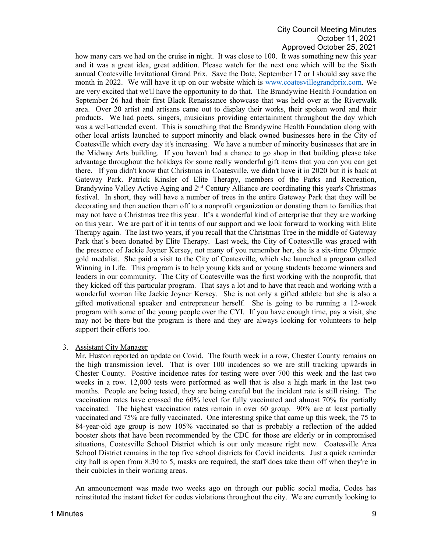how many cars we had on the cruise in night. It was close to 100. It was something new this year and it was a great idea, great addition. Please watch for the next one which will be the Sixth annual Coatesville Invitational Grand Prix. Save the Date, September 17 or I should say save the month in 2022. We will have it up on our website which is [www.coatesvillegrandprix.com.](http://www.coatesvillegrandprix.com/) We are very excited that we'll have the opportunity to do that. The Brandywine Health Foundation on September 26 had their first Black Renaissance showcase that was held over at the Riverwalk area. Over 20 artist and artisans came out to display their works, their spoken word and their products. We had poets, singers, musicians providing entertainment throughout the day which was a well-attended event. This is something that the Brandywine Health Foundation along with other local artists launched to support minority and black owned businesses here in the City of Coatesville which every day it's increasing. We have a number of minority businesses that are in the Midway Arts building. If you haven't had a chance to go shop in that building please take advantage throughout the holidays for some really wonderful gift items that you can you can get there. If you didn't know that Christmas in Coatesville, we didn't have it in 2020 but it is back at Gateway Park. Patrick Kinsler of Elite Therapy, members of the Parks and Recreation, Brandywine Valley Active Aging and 2nd Century Alliance are coordinating this year's Christmas festival. In short, they will have a number of trees in the entire Gateway Park that they will be decorating and then auction them off to a nonprofit organization or donating them to families that may not have a Christmas tree this year. It's a wonderful kind of enterprise that they are working on this year. We are part of it in terms of our support and we look forward to working with Elite Therapy again. The last two years, if you recall that the Christmas Tree in the middle of Gateway Park that's been donated by Elite Therapy. Last week, the City of Coatesville was graced with the presence of Jackie Joyner Kersey, not many of you remember her, she is a six-time Olympic gold medalist. She paid a visit to the City of Coatesville, which she launched a program called Winning in Life. This program is to help young kids and or young students become winners and leaders in our community. The City of Coatesville was the first working with the nonprofit, that they kicked off this particular program. That says a lot and to have that reach and working with a wonderful woman like Jackie Joyner Kersey. She is not only a gifted athlete but she is also a gifted motivational speaker and entrepreneur herself. She is going to be running a 12-week program with some of the young people over the CYI. If you have enough time, pay a visit, she may not be there but the program is there and they are always looking for volunteers to help support their efforts too.

### 3. Assistant City Manager

Mr. Huston reported an update on Covid. The fourth week in a row, Chester County remains on the high transmission level. That is over 100 incidences so we are still tracking upwards in Chester County. Positive incidence rates for testing were over 700 this week and the last two weeks in a row. 12,000 tests were performed as well that is also a high mark in the last two months. People are being tested, they are being careful but the incident rate is still rising. The vaccination rates have crossed the 60% level for fully vaccinated and almost 70% for partially vaccinated. The highest vaccination rates remain in over 60 group. 90% are at least partially vaccinated and 75% are fully vaccinated. One interesting spike that came up this week, the 75 to 84-year-old age group is now 105% vaccinated so that is probably a reflection of the added booster shots that have been recommended by the CDC for those are elderly or in compromised situations, Coatesville School District which is our only measure right now. Coatesville Area School District remains in the top five school districts for Covid incidents. Just a quick reminder city hall is open from 8:30 to 5, masks are required, the staff does take them off when they're in their cubicles in their working areas.

An announcement was made two weeks ago on through our public social media, Codes has reinstituted the instant ticket for codes violations throughout the city. We are currently looking to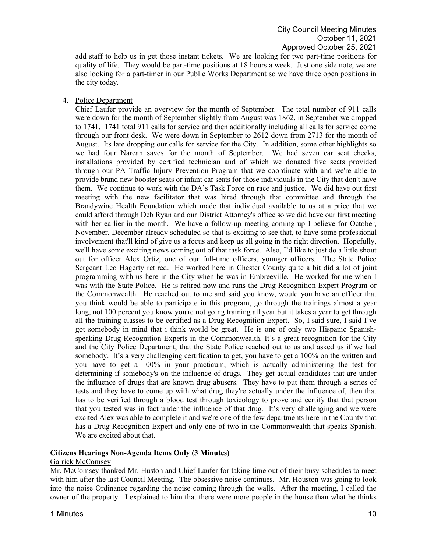add staff to help us in get those instant tickets. We are looking for two part-time positions for quality of life. They would be part-time positions at 18 hours a week. Just one side note, we are also looking for a part-timer in our Public Works Department so we have three open positions in the city today.

### 4. Police Department

Chief Laufer provide an overview for the month of September. The total number of 911 calls were down for the month of September slightly from August was 1862, in September we dropped to 1741. 1741 total 911 calls for service and then additionally including all calls for service come through our front desk. We were down in September to 2612 down from 2713 for the month of August. Its late dropping our calls for service for the City. In addition, some other highlights so we had four Narcan saves for the month of September. We had seven car seat checks, installations provided by certified technician and of which we donated five seats provided through our PA Traffic Injury Prevention Program that we coordinate with and we're able to provide brand new booster seats or infant car seats for those individuals in the City that don't have them. We continue to work with the DA's Task Force on race and justice. We did have out first meeting with the new facilitator that was hired through that committee and through the Brandywine Health Foundation which made that individual available to us at a price that we could afford through Deb Ryan and our District Attorney's office so we did have our first meeting with her earlier in the month. We have a follow-up meeting coming up I believe for October, November, December already scheduled so that is exciting to see that, to have some professional involvement that'll kind of give us a focus and keep us all going in the right direction. Hopefully, we'll have some exciting news coming out of that task force. Also, I'd like to just do a little shout out for officer Alex Ortiz, one of our full-time officers, younger officers. The State Police Sergeant Leo Hagerty retired. He worked here in Chester County quite a bit did a lot of joint programming with us here in the City when he was in Embreeville. He worked for me when I was with the State Police. He is retired now and runs the Drug Recognition Expert Program or the Commonwealth. He reached out to me and said you know, would you have an officer that you think would be able to participate in this program, go through the trainings almost a year long, not 100 percent you know you're not going training all year but it takes a year to get through all the training classes to be certified as a Drug Recognition Expert. So, I said sure, I said I've got somebody in mind that i think would be great. He is one of only two Hispanic Spanishspeaking Drug Recognition Experts in the Commonwealth. It's a great recognition for the City and the City Police Department, that the State Police reached out to us and asked us if we had somebody. It's a very challenging certification to get, you have to get a 100% on the written and you have to get a 100% in your practicum, which is actually administering the test for determining if somebody's on the influence of drugs. They get actual candidates that are under the influence of drugs that are known drug abusers. They have to put them through a series of tests and they have to come up with what drug they're actually under the influence of, then that has to be verified through a blood test through toxicology to prove and certify that that person that you tested was in fact under the influence of that drug. It's very challenging and we were excited Alex was able to complete it and we're one of the few departments here in the County that has a Drug Recognition Expert and only one of two in the Commonwealth that speaks Spanish. We are excited about that.

### **Citizens Hearings Non-Agenda Items Only (3 Minutes)**

### Garrick McComsey

Mr. McComsey thanked Mr. Huston and Chief Laufer for taking time out of their busy schedules to meet with him after the last Council Meeting. The obsessive noise continues. Mr. Houston was going to look into the noise Ordinance regarding the noise coming through the walls. After the meeting, I called the owner of the property. I explained to him that there were more people in the house than what he thinks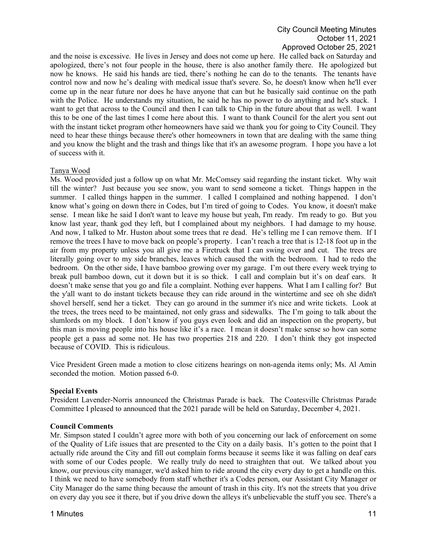and the noise is excessive. He lives in Jersey and does not come up here. He called back on Saturday and apologized, there's not four people in the house, there is also another family there. He apologized but now he knows. He said his hands are tied, there's nothing he can do to the tenants. The tenants have control now and now he's dealing with medical issue that's severe. So, he doesn't know when he'll ever come up in the near future nor does he have anyone that can but he basically said continue on the path with the Police. He understands my situation, he said he has no power to do anything and he's stuck. I want to get that across to the Council and then I can talk to Chip in the future about that as well. I want this to be one of the last times I come here about this. I want to thank Council for the alert you sent out with the instant ticket program other homeowners have said we thank you for going to City Council. They need to hear these things because there's other homeowners in town that are dealing with the same thing and you know the blight and the trash and things like that it's an awesome program. I hope you have a lot of success with it.

### Tanya Wood

Ms. Wood provided just a follow up on what Mr. McComsey said regarding the instant ticket. Why wait till the winter? Just because you see snow, you want to send someone a ticket. Things happen in the summer. I called things happen in the summer. I called I complained and nothing happened. I don't know what's going on down there in Codes, but I'm tired of going to Codes. You know, it doesn't make sense. I mean like he said I don't want to leave my house but yeah, I'm ready. I'm ready to go. But you know last year, thank god they left, but I complained about my neighbors. I had damage to my house. And now, I talked to Mr. Huston about some trees that re dead. He's telling me I can remove them. If I remove the trees I have to move back on people's property. I can't reach a tree that is 12-18 foot up in the air from my property unless you all give me a Firetruck that I can swing over and cut. The trees are literally going over to my side branches, leaves which caused the with the bedroom. I had to redo the bedroom. On the other side, I have bamboo growing over my garage. I'm out there every week trying to break pull bamboo down, cut it down but it is so thick. I call and complain but it's on deaf ears. It doesn't make sense that you go and file a complaint. Nothing ever happens. What I am I calling for? But the y'all want to do instant tickets because they can ride around in the wintertime and see oh she didn't shovel herself, send her a ticket. They can go around in the summer it's nice and write tickets. Look at the trees, the trees need to be maintained, not only grass and sidewalks. The I'm going to talk about the slumlords on my block. I don't know if you guys even look and did an inspection on the property, but this man is moving people into his house like it's a race. I mean it doesn't make sense so how can some people get a pass ad some not. He has two properties 218 and 220. I don't think they got inspected because of COVID. This is ridiculous.

Vice President Green made a motion to close citizens hearings on non-agenda items only; Ms. Al Amin seconded the motion. Motion passed 6-0.

### **Special Events**

President Lavender-Norris announced the Christmas Parade is back. The Coatesville Christmas Parade Committee I pleased to announced that the 2021 parade will be held on Saturday, December 4, 2021.

#### **Council Comments**

Mr. Simpson stated I couldn't agree more with both of you concerning our lack of enforcement on some of the Quality of Life issues that are presented to the City on a daily basis. It's gotten to the point that I actually ride around the City and fill out complain forms because it seems like it was falling on deaf ears with some of our Codes people. We really truly do need to straighten that out. We talked about you know, our previous city manager, we'd asked him to ride around the city every day to get a handle on this. I think we need to have somebody from staff whether it's a Codes person, our Assistant City Manager or City Manager do the same thing because the amount of trash in this city. It's not the streets that you drive on every day you see it there, but if you drive down the alleys it's unbelievable the stuff you see. There's a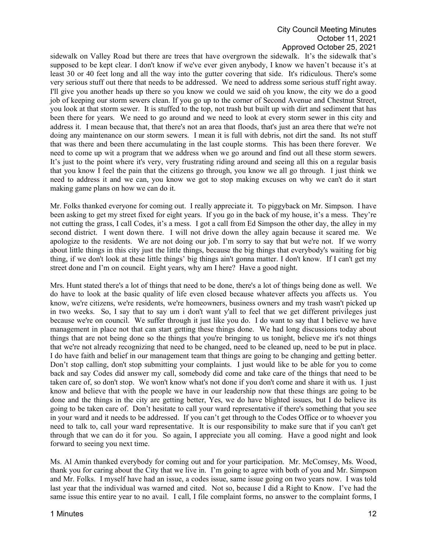sidewalk on Valley Road but there are trees that have overgrown the sidewalk. It's the sidewalk that's supposed to be kept clear. I don't know if we've ever given anybody, I know we haven't because it's at least 30 or 40 feet long and all the way into the gutter covering that side. It's ridiculous. There's some very serious stuff out there that needs to be addressed. We need to address some serious stuff right away. I'll give you another heads up there so you know we could we said oh you know, the city we do a good job of keeping our storm sewers clean. If you go up to the corner of Second Avenue and Chestnut Street, you look at that storm sewer. It is stuffed to the top, not trash but built up with dirt and sediment that has been there for years. We need to go around and we need to look at every storm sewer in this city and address it. I mean because that, that there's not an area that floods, that's just an area there that we're not doing any maintenance on our storm sewers. I mean it is full with debris, not dirt the sand. Its not stuff that was there and been there accumulating in the last couple storms. This has been there forever. We need to come up wit a program that we address when we go around and find out all these storm sewers. It's just to the point where it's very, very frustrating riding around and seeing all this on a regular basis that you know I feel the pain that the citizens go through, you know we all go through. I just think we need to address it and we can, you know we got to stop making excuses on why we can't do it start making game plans on how we can do it.

Mr. Folks thanked everyone for coming out. I really appreciate it. To piggyback on Mr. Simpson. I have been asking to get my street fixed for eight years. If you go in the back of my house, it's a mess. They're not cutting the grass, I call Codes, it's a mess. I got a call from Ed Simpson the other day, the alley in my second district. I went down there. I will not drive down the alley again because it scared me. We apologize to the residents. We are not doing our job. I'm sorry to say that but we're not. If we worry about little things in this city just the little things, because the big things that everybody's waiting for big thing, if we don't look at these little things' big things ain't gonna matter. I don't know. If I can't get my street done and I'm on council. Eight years, why am I here? Have a good night.

Mrs. Hunt stated there's a lot of things that need to be done, there's a lot of things being done as well. We do have to look at the basic quality of life even closed because whatever affects you affects us. You know, we're citizens, we're residents, we're homeowners, business owners and my trash wasn't picked up in two weeks. So, I say that to say um i don't want y'all to feel that we get different privileges just because we're on council. We suffer through it just like you do. I do want to say that I believe we have management in place not that can start getting these things done. We had long discussions today about things that are not being done so the things that you're bringing to us tonight, believe me it's not things that we're not already recognizing that need to be changed, need to be cleaned up, need to be put in place. I do have faith and belief in our management team that things are going to be changing and getting better. Don't stop calling, don't stop submitting your complaints. I just would like to be able for you to come back and say Codes did answer my call, somebody did come and take care of the things that need to be taken care of, so don't stop. We won't know what's not done if you don't come and share it with us. I just know and believe that with the people we have in our leadership now that these things are going to be done and the things in the city are getting better, Yes, we do have blighted issues, but I do believe its going to be taken care of. Don't hesitate to call your ward representative if there's something that you see in your ward and it needs to be addressed. If you can't get through to the Codes Office or to whoever you need to talk to, call your ward representative. It is our responsibility to make sure that if you can't get through that we can do it for you. So again, I appreciate you all coming. Have a good night and look forward to seeing you next time.

Ms. Al Amin thanked everybody for coming out and for your participation. Mr. McComsey, Ms. Wood, thank you for caring about the City that we live in. I'm going to agree with both of you and Mr. Simpson and Mr. Folks. I myself have had an issue, a codes issue, same issue going on two years now. I was told last year that the individual was warned and cited. Not so, because I did a Right to Know. I've had the same issue this entire year to no avail. I call, I file complaint forms, no answer to the complaint forms, I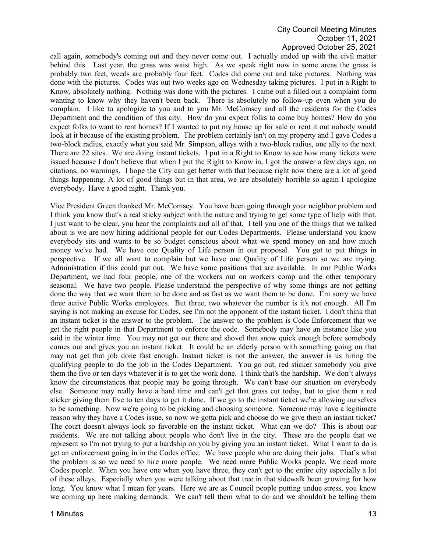call again, somebody's coming out and they never come out. I actually ended up with the civil matter behind this. Last year, the grass was waist high. As we speak right now in some areas the grass is probably two feet, weeds are probably four feet. Codes did come out and take pictures. Nothing was done with the pictures. Codes was out two weeks ago on Wednesday taking pictures. I put in a Right to Know, absolutely nothing. Nothing was done with the pictures. I came out a filled out a complaint form wanting to know why they haven't been back. There is absolutely no follow-up even when you do complain. I like to apologize to you and to you Mr. McComsey and all the residents for the Codes Department and the condition of this city. How do you expect folks to come buy homes? How do you expect folks to want to rent homes? If I wanted to put my house up for sale or rent it out nobody would look at it because of the existing problem. The problem certainly isn't on my property and I gave Codes a two-block radius, exactly what you said Mr. Simpson, alleys with a two-block radius, one ally to the next. There are 22 sites. We are doing instant tickets. I put in a Right to Know to see how many tickets were issued because I don't believe that when I put the Right to Know in, I got the answer a few days ago, no citations, no warnings. I hope the City can get better with that because right now there are a lot of good things happening. A lot of good things but in that area, we are absolutely horrible so again I apologize everybody. Have a good night. Thank you.

Vice President Green thanked Mr. McComsey. You have been going through your neighbor problem and I think you know that's a real sticky subject with the nature and trying to get some type of help with that. I just want to be clear, you hear the complaints and all of that. I tell you one of the things that we talked about is we are now hiring additional people for our Codes Departments. Please understand you know everybody sits and wants to be so budget conscious about what we spend money on and how much money we've had. We have one Quality of Life person in our proposal. You got to put things in perspective. If we all want to complain but we have one Quality of Life person so we are trying. Administration if this could put out. We have some positions that are available. In our Public Works Department, we had four people, one of the workers out on workers comp and the other temporary seasonal. We have two people. Please understand the perspective of why some things are not getting done the way that we want them to be done and as fast as we want them to be done. I'm sorry we have three active Public Works employees. But three, two whatever the number is it's not enough. All I'm saying is not making an excuse for Codes, see I'm not the opponent of the instant ticket. I don't think that an instant ticket is the answer to the problem. The answer to the problem is Code Enforcement that we get the right people in that Department to enforce the code. Somebody may have an instance like you said in the winter time. You may not get out there and shovel that snow quick enough before somebody comes out and gives you an instant ticket. It could be an elderly person with something going on that may not get that job done fast enough. Instant ticket is not the answer, the answer is us hiring the qualifying people to do the job in the Codes Department. You go out, red sticker somebody you give them the five or ten days whatever it is to get the work done. I think that's the hardship. We don't always know the circumstances that people may be going through. We can't base our situation on everybody else. Someone may really have a hard time and can't get that grass cut today, but to give them a red sticker giving them five to ten days to get it done. If we go to the instant ticket we're allowing ourselves to be something. Now we're going to be picking and choosing someone. Someone may have a legitimate reason why they have a Codes issue, so now we gotta pick and choose do we give them an instant ticket? The court doesn't always look so favorable on the instant ticket. What can we do? This is about our residents. We are not talking about people who don't live in the city. These are the people that we represent so I'm not trying to put a hardship on you by giving you an instant ticket. What I want to do is get an enforcement going in in the Codes office. We have people who are doing their jobs. That's what the problem is so we need to hire more people. We need more Public Works people. We need more Codes people. When you have one when you have three, they can't get to the entire city especially a lot of these alleys. Especially when you were talking about that tree in that sidewalk been growing for how long. You know what I mean for years. Here we are as Council people putting undue stress, you know we coming up here making demands. We can't tell them what to do and we shouldn't be telling them